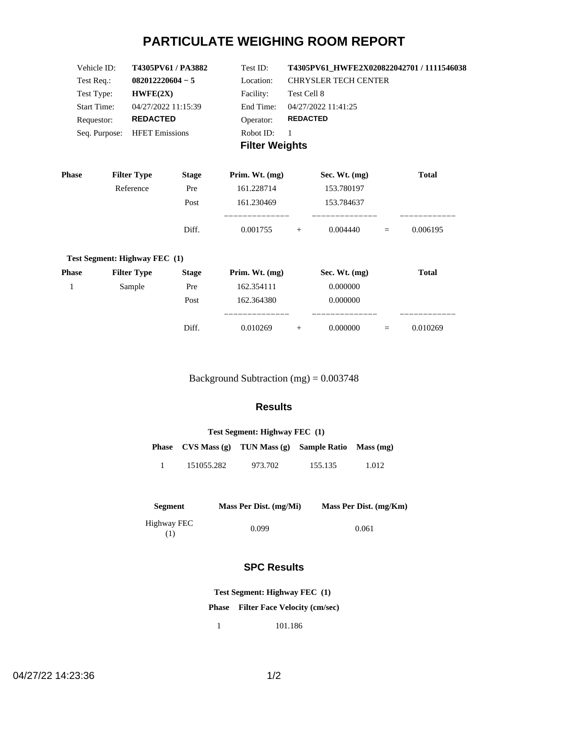# **PARTICULATE WEIGHING ROOM REPORT**

| Vehicle ID:        | T4305PV61/PA3882      | Test ID:              | T4305PV61 HWFE2X020822042701 / 1111546038 |  |  |
|--------------------|-----------------------|-----------------------|-------------------------------------------|--|--|
| Test Req.:         | $082012220604 - 5$    | Location:             | <b>CHRYSLER TECH CENTER</b>               |  |  |
| Test Type:         | HWFE(2X)              | Facility:             | Test Cell 8                               |  |  |
| <b>Start Time:</b> | 04/27/2022 11:15:39   | End Time:             | 04/27/2022 11:41:25                       |  |  |
| Requestor:         | <b>REDACTED</b>       | Operator:             | <b>REDACTED</b>                           |  |  |
| Seq. Purpose:      | <b>HFET Emissions</b> | Robot ID:             |                                           |  |  |
|                    |                       | <b>Filter Weights</b> |                                           |  |  |

| <b>Phase</b> | <b>Filter Type</b>            | <b>Stage</b> | Prim. Wt. $(mg)$ | Sec. Wt. $(mg)$ |     | <b>Total</b> |
|--------------|-------------------------------|--------------|------------------|-----------------|-----|--------------|
|              | Reference                     | Pre          | 161.228714       | 153.780197      |     |              |
|              |                               | Post         | 161.230469       | 153.784637      |     |              |
|              |                               | Diff.        | 0.001755         | 0.004440<br>$+$ | $=$ | 0.006195     |
|              | Test Segment: Highway FEC (1) |              |                  |                 |     |              |
| <b>Phase</b> | <b>Filter Type</b>            | <b>Stage</b> | Prim. Wt. $(mg)$ | Sec. Wt. $(mg)$ |     | <b>Total</b> |
|              | Sample                        | Pre          | 162.354111       | 0.000000        |     |              |
|              |                               | Post         | 162.364380       | 0.000000        |     |              |
|              |                               |              |                  |                 |     |              |

Background Subtraction (mg) = 0.003748

Diff. 0.010269 + 0.000000 = 0.010269

#### **Results**

| Test Segment: Highway FEC (1) |            |                                                                |         |       |  |  |
|-------------------------------|------------|----------------------------------------------------------------|---------|-------|--|--|
|                               |            | <b>Phase</b> $CVS Mass(g)$ TUN Mass (g) Sample Ratio Mass (mg) |         |       |  |  |
|                               | 151055.282 | 973.702                                                        | 155.135 | 1.012 |  |  |

| Segment            | Mass Per Dist. (mg/Mi) | Mass Per Dist. (mg/Km) |
|--------------------|------------------------|------------------------|
| Highway FEC<br>(1) | 0.099                  | 0.061                  |

## **SPC Results**

**Test Segment: Highway FEC (1)**

**Phase Filter Face Velocity (cm/sec)**

1 101.186